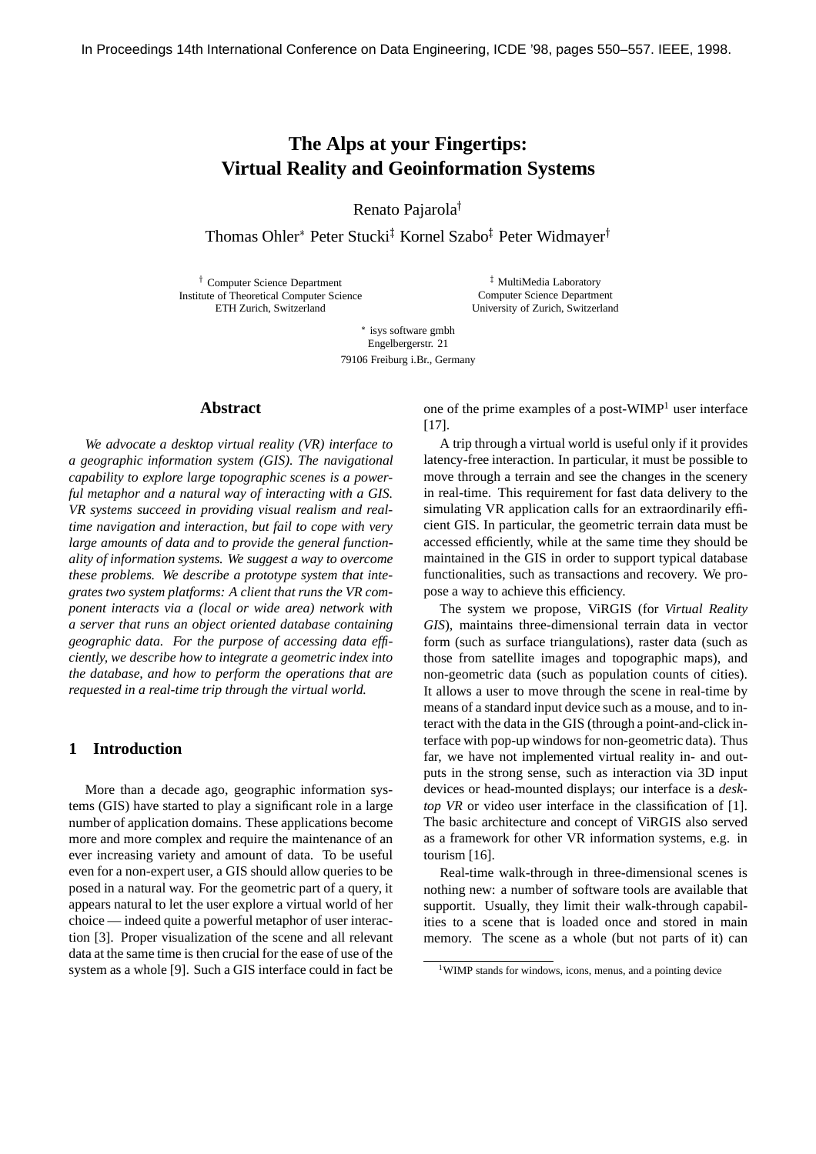# **The Alps at your Fingertips: Virtual Reality and Geoinformation Systems**

Renato Pajarola<sup>†</sup>

Thomas Ohler\* Peter Stucki‡ Kornel Szabo‡ Peter Widmayer†

<sup>†</sup> Computer Science Department Institute of Theoretical Computer Science ETH Zurich, Switzerland

<sup>‡</sup> MultiMedia Laboratory Computer Science Department University of Zurich, Switzerland

\* isys software gmbh Engelbergerstr. 21 79106 Freiburg i.Br., Germany

## **Abstract**

*We advocate a desktop virtual reality (VR) interface to a geographic information system (GIS). The navigational capability to explore large topographic scenes is a powerful metaphor and a natural way of interacting with a GIS. VR systems succeed in providing visual realism and realtime navigation and interaction, but fail to cope with very large amounts of data and to provide the general functionality of information systems. We suggest a way to overcome these problems. We describe a prototype system that integrates two system platforms: A client that runs the VR component interacts via a (local or wide area) network with a server that runs an object oriented database containing geographic data. For the purpose of accessing data efficiently, we describe how to integrate a geometric index into the database, and how to perform the operations that are requested in a real-time trip through the virtual world.*

## **1 Introduction**

More than a decade ago, geographic information systems (GIS) have started to play a significant role in a large number of application domains. These applications become more and more complex and require the maintenance of an ever increasing variety and amount of data. To be useful even for a non-expert user, a GIS should allow queries to be posed in a natural way. For the geometric part of a query, it appears natural to let the user explore a virtual world of her choice — indeed quite a powerful metaphor of user interaction [3]. Proper visualization of the scene and all relevant data at the same time is then crucial for the ease of use of the system as a whole [9]. Such a GIS interface could in fact be

one of the prime examples of a post-WIMP1 user interface [17].

A trip through a virtual world is useful only if it provides latency-free interaction. In particular, it must be possible to move through a terrain and see the changes in the scenery in real-time. This requirement for fast data delivery to the simulating VR application calls for an extraordinarily efficient GIS. In particular, the geometric terrain data must be accessed efficiently, while at the same time they should be maintained in the GIS in order to support typical database functionalities, such as transactions and recovery. We propose a way to achieve this efficiency.

The system we propose, ViRGIS (for *Virtual Reality GIS*), maintains three-dimensional terrain data in vector form (such as surface triangulations), raster data (such as those from satellite images and topographic maps), and non-geometric data (such as population counts of cities). It allows a user to move through the scene in real-time by means of a standard input device such as a mouse, and to interact with the data in the GIS (through a point-and-click interface with pop-up windows for non-geometric data). Thus far, we have not implemented virtual reality in- and outputs in the strong sense, such as interaction via 3D input devices or head-mounted displays; our interface is a *desktop VR* or video user interface in the classification of [1]. The basic architecture and concept of ViRGIS also served as a framework for other VR information systems, e.g. in tourism [16].

Real-time walk-through in three-dimensional scenes is nothing new: a number of software tools are available that supportit. Usually, they limit their walk-through capabilities to a scene that is loaded once and stored in main memory. The scene as a whole (but not parts of it) can

<sup>&</sup>lt;sup>1</sup>WIMP stands for windows, icons, menus, and a pointing device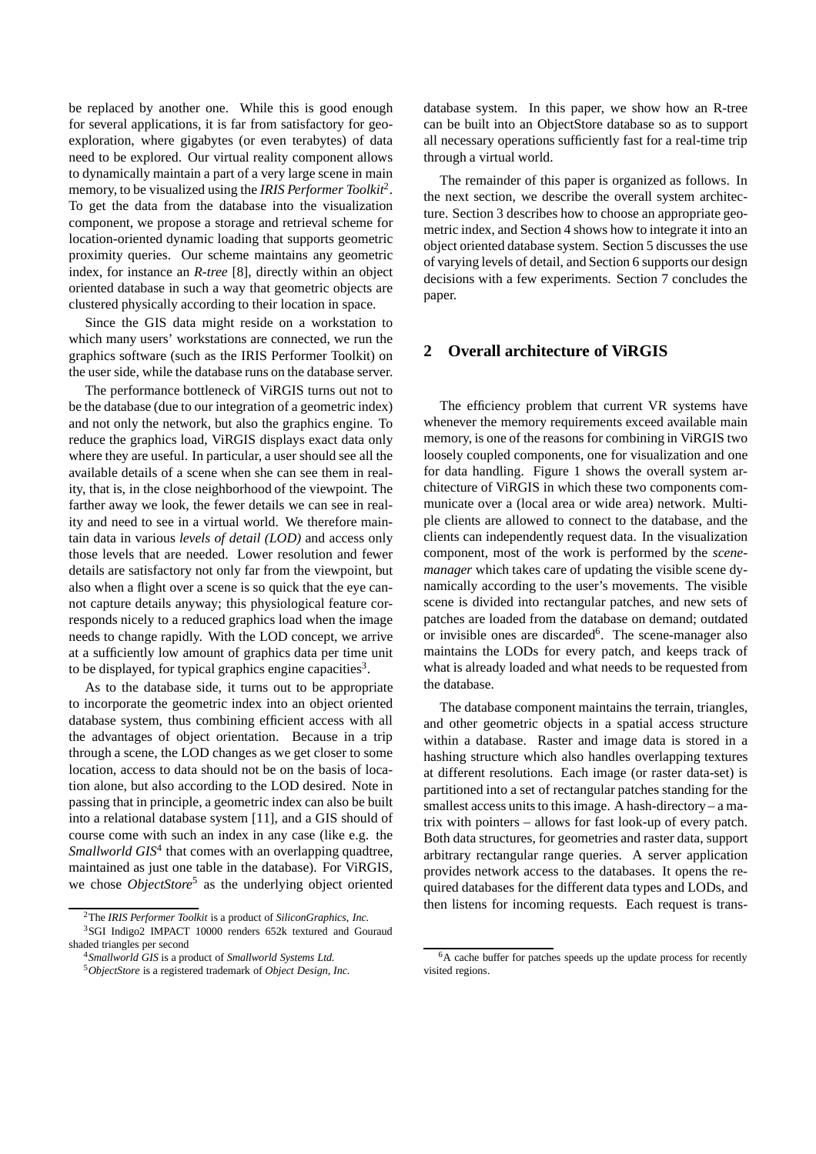be replaced by another one. While this is good enough for several applications, it is far from satisfactory for geoexploration, where gigabytes (or even terabytes) of data need to be explored. Our virtual reality component allows to dynamically maintain a part of a very large scene in main memory, to be visualized using the *IRIS Performer Toolkit*2. To get the data from the database into the visualization component, we propose a storage and retrieval scheme for location-oriented dynamic loading that supports geometric proximity queries. Our scheme maintains any geometric index, for instance an *R-tree* [8], directly within an object oriented database in such a way that geometric objects are clustered physically according to their location in space.

Since the GIS data might reside on a workstation to which many users' workstations are connected, we run the graphics software (such as the IRIS Performer Toolkit) on the user side, while the database runs on the database server.

The performance bottleneck of ViRGIS turns out not to be the database (due to our integration of a geometric index) and not only the network, but also the graphics engine. To reduce the graphics load, ViRGIS displays exact data only where they are useful. In particular, a user should see all the available details of a scene when she can see them in reality, that is, in the close neighborhood of the viewpoint. The farther away we look, the fewer details we can see in reality and need to see in a virtual world. We therefore maintain data in various *levels of detail (LOD)* and access only those levels that are needed. Lower resolution and fewer details are satisfactory not only far from the viewpoint, but also when a flight over a scene is so quick that the eye cannot capture details anyway; this physiological feature corresponds nicely to a reduced graphics load when the image needs to change rapidly. With the LOD concept, we arrive at a sufficiently low amount of graphics data per time unit to be displayed, for typical graphics engine capacities<sup>3</sup>.

As to the database side, it turns out to be appropriate to incorporate the geometric index into an object oriented database system, thus combining efficient access with all the advantages of object orientation. Because in a trip through a scene, the LOD changes as we get closer to some location, access to data should not be on the basis of location alone, but also according to the LOD desired. Note in passing that in principle, a geometric index can also be built into a relational database system [11], and a GIS should of course come with such an index in any case (like e.g. the *Smallworld GIS<sup>4</sup>* that comes with an overlapping quadtree, maintained as just one table in the database). For ViRGIS, we chose *ObjectStore*<sup>5</sup> as the underlying object oriented database system. In this paper, we show how an R-tree can be built into an ObjectStore database so as to support all necessary operations sufficiently fast for a real-time trip through a virtual world.

The remainder of this paper is organized as follows. In the next section, we describe the overall system architecture. Section 3 describes how to choose an appropriate geometric index, and Section 4 shows how to integrate it into an object oriented database system. Section 5 discusses the use of varying levels of detail, and Section 6 supports our design decisions with a few experiments. Section 7 concludes the paper.

## **2 Overall architecture of ViRGIS**

The efficiency problem that current VR systems have whenever the memory requirements exceed available main memory, is one of the reasons for combining in ViRGIS two loosely coupled components, one for visualization and one for data handling. Figure 1 shows the overall system architecture of ViRGIS in which these two components communicate over a (local area or wide area) network. Multiple clients are allowed to connect to the database, and the clients can independently request data. In the visualization component, most of the work is performed by the *scenemanager* which takes care of updating the visible scene dynamically according to the user's movements. The visible scene is divided into rectangular patches, and new sets of patches are loaded from the database on demand; outdated or invisible ones are discarded<sup>6</sup>. The scene-manager also maintains the LODs for every patch, and keeps track of what is already loaded and what needs to be requested from the database.

The database component maintains the terrain, triangles, and other geometric objects in a spatial access structure within a database. Raster and image data is stored in a hashing structure which also handles overlapping textures at different resolutions. Each image (or raster data-set) is partitioned into a set of rectangular patches standing for the smallest access units to this image. A hash-directory – a matrix with pointers – allows for fast look-up of every patch. Both data structures, for geometries and raster data, support arbitrary rectangular range queries. A server application provides network access to the databases. It opens the required databases for the different data types and LODs, and then listens for incoming requests. Each request is trans-

<sup>2</sup>The *IRIS Performer Toolkit* is a product of *SiliconGraphics, Inc.* <sup>3</sup>SGI Indigo2 IMPACT 10000 renders 652k textured and Gouraud

shaded triangles per second <sup>4</sup>*Smallworld GIS* is a product of *Smallworld Systems Ltd.*

<sup>5</sup>*ObjectStore* is a registered trademark of *Object Design, Inc.*

<sup>6</sup>A cache buffer for patches speeds up the update process for recently visited regions.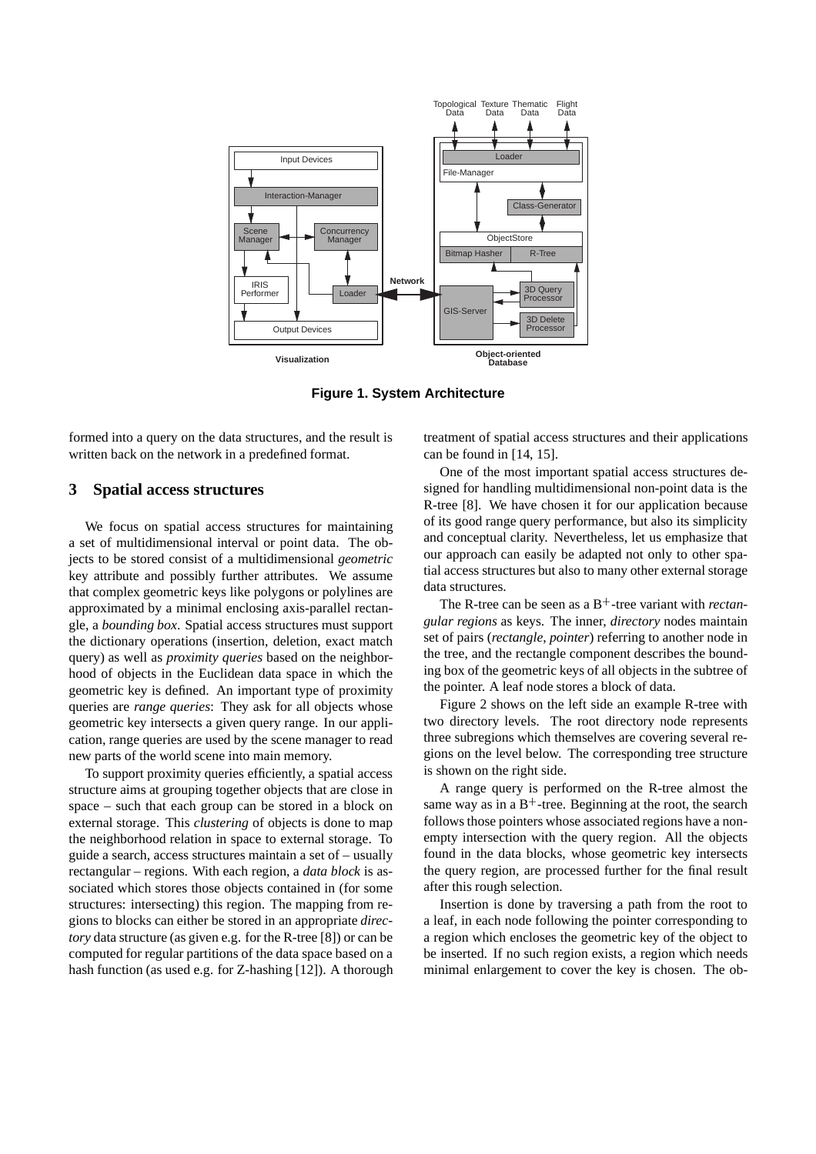

**Figure 1. System Architecture**

formed into a query on the data structures, and the result is written back on the network in a predefined format.

## **3 Spatial access structures**

We focus on spatial access structures for maintaining a set of multidimensional interval or point data. The objects to be stored consist of a multidimensional *geometric* key attribute and possibly further attributes. We assume that complex geometric keys like polygons or polylines are approximated by a minimal enclosing axis-parallel rectangle, a *bounding box*. Spatial access structures must support the dictionary operations (insertion, deletion, exact match query) as well as *proximity queries* based on the neighborhood of objects in the Euclidean data space in which the geometric key is defined. An important type of proximity queries are *range queries*: They ask for all objects whose geometric key intersects a given query range. In our application, range queries are used by the scene manager to read new parts of the world scene into main memory.

To support proximity queries efficiently, a spatial access structure aims at grouping together objects that are close in space – such that each group can be stored in a block on external storage. This *clustering* of objects is done to map the neighborhood relation in space to external storage. To guide a search, access structures maintain a set of – usually rectangular – regions. With each region, a *data block* is associated which stores those objects contained in (for some structures: intersecting) this region. The mapping from regions to blocks can either be stored in an appropriate *directory* data structure (as given e.g. for the R-tree [8]) or can be computed for regular partitions of the data space based on a hash function (as used e.g. for Z-hashing [12]). A thorough treatment of spatial access structures and their applications can be found in [14, 15].

One of the most important spatial access structures designed for handling multidimensional non-point data is the R-tree [8]. We have chosen it for our application because of its good range query performance, but also its simplicity and conceptual clarity. Nevertheless, let us emphasize that our approach can easily be adapted not only to other spatial access structures but also to many other external storage data structures.

The R-tree can be seen as a  $B^+$ -tree variant with *rectangular regions* as keys. The inner, *directory* nodes maintain set of pairs (*rectangle*, *pointer*) referring to another node in the tree, and the rectangle component describes the bounding box of the geometric keys of all objects in the subtree of the pointer. A leaf node stores a block of data.

Figure 2 shows on the left side an example R-tree with two directory levels. The root directory node represents three subregions which themselves are covering several regions on the level below. The corresponding tree structure is shown on the right side.

A range query is performed on the R-tree almost the same way as in a  $B^+$ -tree. Beginning at the root, the search follows those pointers whose associated regions have a nonempty intersection with the query region. All the objects found in the data blocks, whose geometric key intersects the query region, are processed further for the final result after this rough selection.

Insertion is done by traversing a path from the root to a leaf, in each node following the pointer corresponding to a region which encloses the geometric key of the object to be inserted. If no such region exists, a region which needs minimal enlargement to cover the key is chosen. The ob-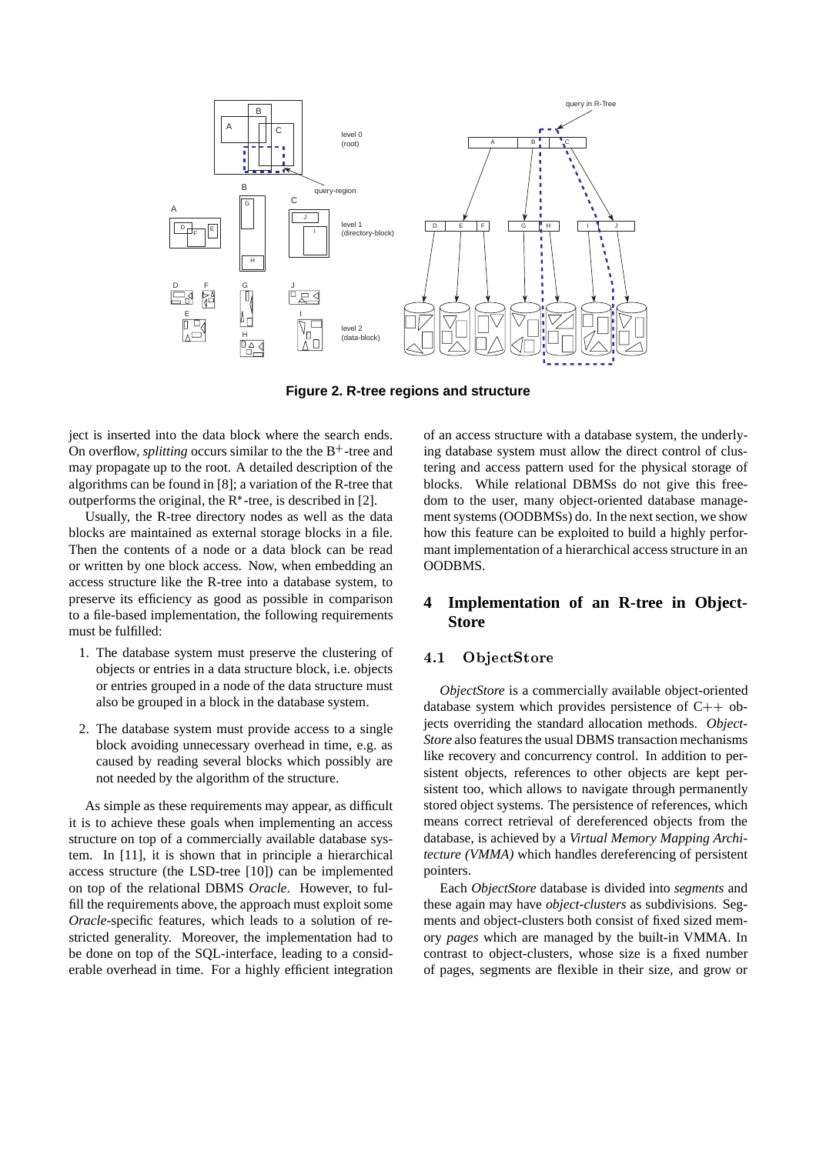

**Figure 2. R-tree regions and structure**

ject is inserted into the data block where the search ends. On overflow, *splitting* occurs similar to the the  $B^+$ -tree and may propagate up to the root. A detailed description of the algorithms can be found in [8]; a variation of the R-tree that outperforms the original, the  $R^*$ -tree, is described in [2].

Usually, the R-tree directory nodes as well as the data blocks are maintained as external storage blocks in a file. Then the contents of a node or a data block can be read or written by one block access. Now, when embedding an access structure like the R-tree into a database system, to preserve its efficiency as good as possible in comparison to a file-based implementation, the following requirements must be fulfilled:

- 1. The database system must preserve the clustering of objects or entries in a data structure block, i.e. objects or entries grouped in a node of the data structure must also be grouped in a block in the database system.
- 2. The database system must provide access to a single block avoiding unnecessary overhead in time, e.g. as caused by reading several blocks which possibly are not needed by the algorithm of the structure.

As simple as these requirements may appear, as difficult it is to achieve these goals when implementing an access structure on top of a commercially available database system. In [11], it is shown that in principle a hierarchical access structure (the LSD-tree [10]) can be implemented on top of the relational DBMS *Oracle*. However, to fulfill the requirements above, the approach must exploit some *Oracle*-specific features, which leads to a solution of restricted generality. Moreover, the implementation had to be done on top of the SQL-interface, leading to a considerable overhead in time. For a highly efficient integration of an access structure with a database system, the underlying database system must allow the direct control of clustering and access pattern used for the physical storage of blocks. While relational DBMSs do not give this freedom to the user, many object-oriented database management systems (OODBMSs) do. In the next section, we show how this feature can be exploited to build a highly performant implementation of a hierarchical access structure in an OODBMS.

## **4 Implementation of an R-tree in Object-Store**

## 4.1 Ob jectStore

*ObjectStore* is a commercially available object-oriented database system which provides persistence of  $C++$  objects overriding the standard allocation methods. *Object-Store* also features the usual DBMS transaction mechanisms like recovery and concurrency control. In addition to persistent objects, references to other objects are kept persistent too, which allows to navigate through permanently stored object systems. The persistence of references, which means correct retrieval of dereferenced objects from the database, is achieved by a *Virtual Memory Mapping Architecture (VMMA)* which handles dereferencing of persistent pointers.

Each *ObjectStore* database is divided into *segments* and these again may have *object-clusters* as subdivisions. Segments and object-clusters both consist of fixed sized memory *pages* which are managed by the built-in VMMA. In contrast to object-clusters, whose size is a fixed number of pages, segments are flexible in their size, and grow or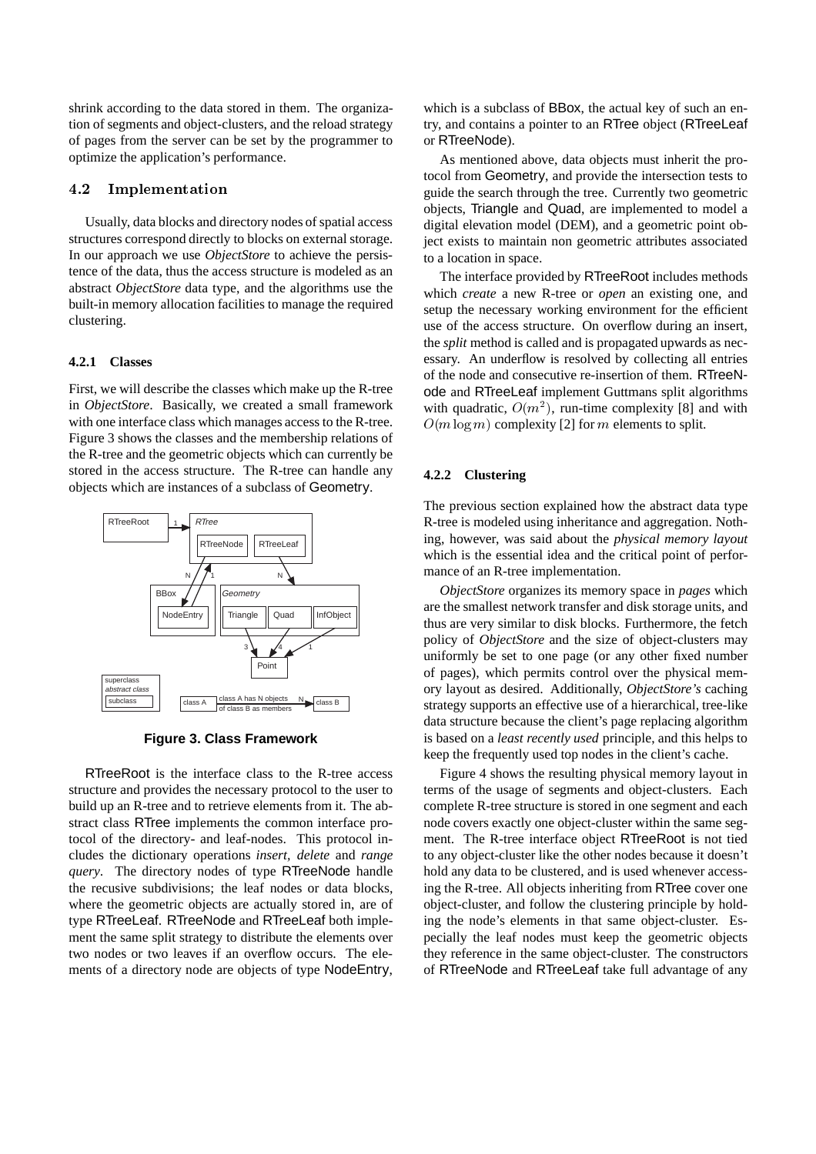shrink according to the data stored in them. The organization of segments and object-clusters, and the reload strategy of pages from the server can be set by the programmer to optimize the application's performance.

## 4.2 Implementation

Usually, data blocks and directory nodes of spatial access structures correspond directly to blocks on external storage. In our approach we use *ObjectStore* to achieve the persistence of the data, thus the access structure is modeled as an abstract *ObjectStore* data type, and the algorithms use the built-in memory allocation facilities to manage the required clustering.

#### **4.2.1 Classes**

First, we will describe the classes which make up the R-tree in *ObjectStore*. Basically, we created a small framework with one interface class which manages access to the R-tree. Figure 3 shows the classes and the membership relations of the R-tree and the geometric objects which can currently be stored in the access structure. The R-tree can handle any objects which are instances of a subclass of Geometry.



**Figure 3. Class Framework**

RTreeRoot is the interface class to the R-tree access structure and provides the necessary protocol to the user to build up an R-tree and to retrieve elements from it. The abstract class RTree implements the common interface protocol of the directory- and leaf-nodes. This protocol includes the dictionary operations *insert, delete* and *range query*. The directory nodes of type RTreeNode handle the recusive subdivisions; the leaf nodes or data blocks, where the geometric objects are actually stored in, are of type RTreeLeaf. RTreeNode and RTreeLeaf both implement the same split strategy to distribute the elements over two nodes or two leaves if an overflow occurs. The elements of a directory node are objects of type NodeEntry, which is a subclass of **BBox**, the actual key of such an entry, and contains a pointer to an RTree object (RTreeLeaf or RTreeNode).

As mentioned above, data objects must inherit the protocol from Geometry, and provide the intersection tests to guide the search through the tree. Currently two geometric objects, Triangle and Quad, are implemented to model a digital elevation model (DEM), and a geometric point object exists to maintain non geometric attributes associated to a location in space.

The interface provided by RTreeRoot includes methods which *create* a new R-tree or *open* an existing one, and setup the necessary working environment for the efficient use of the access structure. On overflow during an insert, the *split* method is called and is propagated upwards as necessary. An underflow is resolved by collecting all entries of the node and consecutive re-insertion of them. RTreeNode and RTreeLeaf implement Guttmans split algorithms with quadratic,  $O(m^2)$ , run-time complexity [8] and with  $O(m \log m)$  complexity [2] for m elements to split.

#### **4.2.2 Clustering**

The previous section explained how the abstract data type R-tree is modeled using inheritance and aggregation. Nothing, however, was said about the *physical memory layout* which is the essential idea and the critical point of performance of an R-tree implementation.

*ObjectStore* organizes its memory space in *pages* which are the smallest network transfer and disk storage units, and thus are very similar to disk blocks. Furthermore, the fetch policy of *ObjectStore* and the size of object-clusters may uniformly be set to one page (or any other fixed number of pages), which permits control over the physical memory layout as desired. Additionally, *ObjectStore's* caching strategy supports an effective use of a hierarchical, tree-like data structure because the client's page replacing algorithm is based on a *least recently used* principle, and this helps to keep the frequently used top nodes in the client's cache.

Figure 4 shows the resulting physical memory layout in terms of the usage of segments and object-clusters. Each complete R-tree structure is stored in one segment and each node covers exactly one object-cluster within the same segment. The R-tree interface object RTreeRoot is not tied to any object-cluster like the other nodes because it doesn't hold any data to be clustered, and is used whenever accessing the R-tree. All objects inheriting from RTree cover one object-cluster, and follow the clustering principle by holding the node's elements in that same object-cluster. Especially the leaf nodes must keep the geometric objects they reference in the same object-cluster. The constructors of RTreeNode and RTreeLeaf take full advantage of any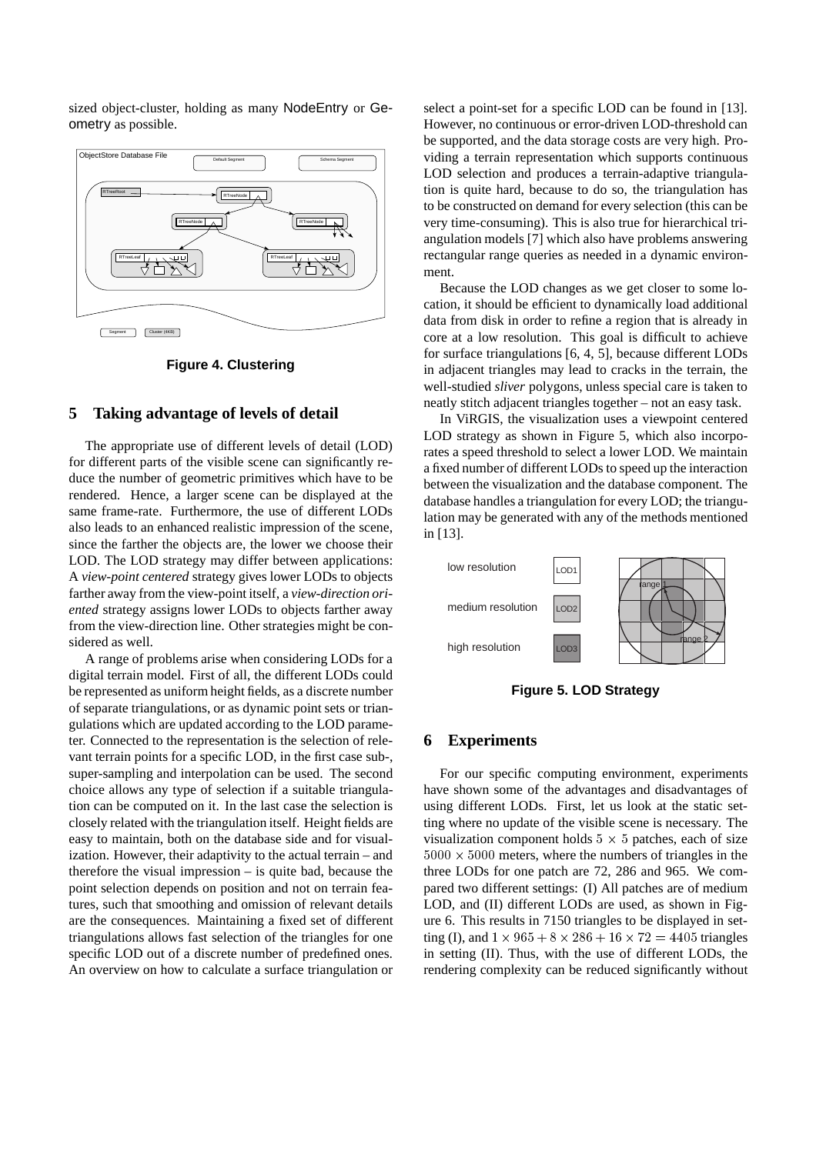sized object-cluster, holding as many NodeEntry or Geometry as possible.



**Figure 4. Clustering**

## **5 Taking advantage of levels of detail**

The appropriate use of different levels of detail (LOD) for different parts of the visible scene can significantly reduce the number of geometric primitives which have to be rendered. Hence, a larger scene can be displayed at the same frame-rate. Furthermore, the use of different LODs also leads to an enhanced realistic impression of the scene, since the farther the objects are, the lower we choose their LOD. The LOD strategy may differ between applications: A *view-point centered* strategy gives lower LODs to objects farther away from the view-point itself, a *view-direction oriented* strategy assigns lower LODs to objects farther away from the view-direction line. Other strategies might be considered as well.

A range of problems arise when considering LODs for a digital terrain model. First of all, the different LODs could be represented as uniform height fields, as a discrete number of separate triangulations, or as dynamic point sets or triangulations which are updated according to the LOD parameter. Connected to the representation is the selection of relevant terrain points for a specific LOD, in the first case sub-, super-sampling and interpolation can be used. The second choice allows any type of selection if a suitable triangulation can be computed on it. In the last case the selection is closely related with the triangulation itself. Height fields are easy to maintain, both on the database side and for visualization. However, their adaptivity to the actual terrain – and therefore the visual impression  $-$  is quite bad, because the point selection depends on position and not on terrain features, such that smoothing and omission of relevant details are the consequences. Maintaining a fixed set of different triangulations allows fast selection of the triangles for one specific LOD out of a discrete number of predefined ones. An overview on how to calculate a surface triangulation or select a point-set for a specific LOD can be found in [13]. However, no continuous or error-driven LOD-threshold can be supported, and the data storage costs are very high. Providing a terrain representation which supports continuous LOD selection and produces a terrain-adaptive triangulation is quite hard, because to do so, the triangulation has to be constructed on demand for every selection (this can be very time-consuming). This is also true for hierarchical triangulation models [7] which also have problems answering rectangular range queries as needed in a dynamic environment.

Because the LOD changes as we get closer to some location, it should be efficient to dynamically load additional data from disk in order to refine a region that is already in core at a low resolution. This goal is difficult to achieve for surface triangulations [6, 4, 5], because different LODs in adjacent triangles may lead to cracks in the terrain, the well-studied *sliver* polygons, unless special care is taken to neatly stitch adjacent triangles together – not an easy task.

In ViRGIS, the visualization uses a viewpoint centered LOD strategy as shown in Figure 5, which also incorporates a speed threshold to select a lower LOD. We maintain a fixed number of different LODs to speed up the interaction between the visualization and the database component. The database handles a triangulation for every LOD; the triangulation may be generated with any of the methods mentioned in [13].



**Figure 5. LOD Strategy**

## **6 Experiments**

For our specific computing environment, experiments have shown some of the advantages and disadvantages of using different LODs. First, let us look at the static setting where no update of the visible scene is necessary. The visualization component holds  $5 \times 5$  patches, each of size  $5000 \times 5000$  meters, where the numbers of triangles in the three LODs for one patch are 72, 286 and 965. We compared two different settings: (I) All patches are of medium LOD, and (II) different LODs are used, as shown in Figure 6. This results in 7150 triangles to be displayed in setting (I), and  $1 \times 965 + 8 \times 286 + 16 \times 72 = 4405$  triangles in setting (II). Thus, with the use of different LODs, the rendering complexity can be reduced significantly without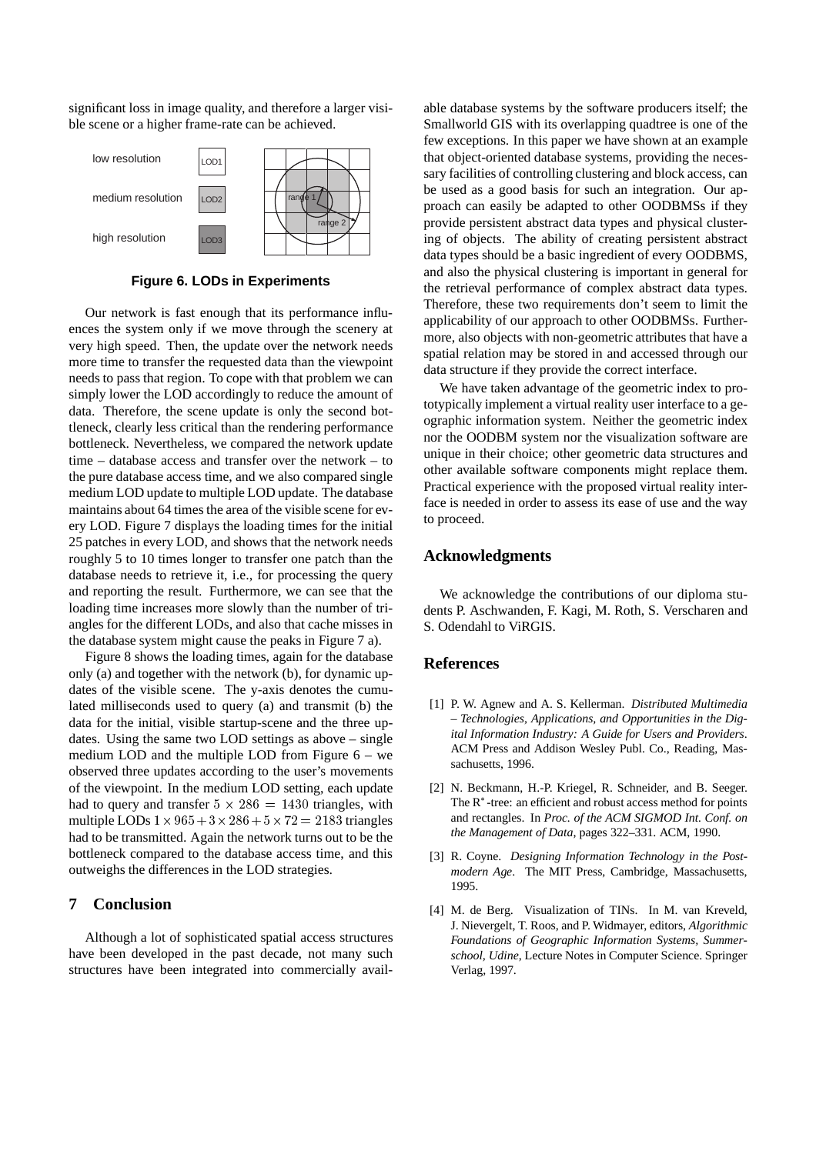significant loss in image quality, and therefore a larger visible scene or a higher frame-rate can be achieved.



**Figure 6. LODs in Experiments**

Our network is fast enough that its performance influences the system only if we move through the scenery at very high speed. Then, the update over the network needs more time to transfer the requested data than the viewpoint needs to pass that region. To cope with that problem we can simply lower the LOD accordingly to reduce the amount of data. Therefore, the scene update is only the second bottleneck, clearly less critical than the rendering performance bottleneck. Nevertheless, we compared the network update time – database access and transfer over the network – to the pure database access time, and we also compared single medium LOD update to multiple LOD update. The database maintains about 64 times the area of the visible scene for every LOD. Figure 7 displays the loading times for the initial 25 patches in every LOD, and shows that the network needs roughly 5 to 10 times longer to transfer one patch than the database needs to retrieve it, i.e., for processing the query and reporting the result. Furthermore, we can see that the loading time increases more slowly than the number of triangles for the different LODs, and also that cache misses in the database system might cause the peaks in Figure 7 a).

Figure 8 shows the loading times, again for the database only (a) and together with the network (b), for dynamic updates of the visible scene. The y-axis denotes the cumulated milliseconds used to query (a) and transmit (b) the data for the initial, visible startup-scene and the three updates. Using the same two LOD settings as above – single medium LOD and the multiple LOD from Figure 6 – we observed three updates according to the user's movements of the viewpoint. In the medium LOD setting, each update had to query and transfer  $5 \times 286 = 1430$  triangles, with multiple LODs  $1 \times 965 + 3 \times 286 + 5 \times 72 = 2183$  triangles had to be transmitted. Again the network turns out to be the bottleneck compared to the database access time, and this outweighs the differences in the LOD strategies.

## **7 Conclusion**

Although a lot of sophisticated spatial access structures have been developed in the past decade, not many such structures have been integrated into commercially available database systems by the software producers itself; the Smallworld GIS with its overlapping quadtree is one of the few exceptions. In this paper we have shown at an example that object-oriented database systems, providing the necessary facilities of controlling clustering and block access, can be used as a good basis for such an integration. Our approach can easily be adapted to other OODBMSs if they provide persistent abstract data types and physical clustering of objects. The ability of creating persistent abstract data types should be a basic ingredient of every OODBMS, and also the physical clustering is important in general for the retrieval performance of complex abstract data types. Therefore, these two requirements don't seem to limit the applicability of our approach to other OODBMSs. Furthermore, also objects with non-geometric attributes that have a spatial relation may be stored in and accessed through our data structure if they provide the correct interface.

We have taken advantage of the geometric index to prototypically implement a virtual reality user interface to a geographic information system. Neither the geometric index nor the OODBM system nor the visualization software are unique in their choice; other geometric data structures and other available software components might replace them. Practical experience with the proposed virtual reality interface is needed in order to assess its ease of use and the way to proceed.

## **Acknowledgments**

We acknowledge the contributions of our diploma students P. Aschwanden, F. Kagi, M. Roth, S. Verscharen and S. Odendahl to ViRGIS.

## **References**

- [1] P. W. Agnew and A. S. Kellerman. *Distributed Multimedia – Technologies, Applications, and Opportunities in the Digital Information Industry: A Guide for Users and Providers*. ACM Press and Addison Wesley Publ. Co., Reading, Massachusetts, 1996.
- [2] N. Beckmann, H.-P. Kriegel, R. Schneider, and B. Seeger. The  $R^*$ -tree: an efficient and robust access method for points and rectangles. In *Proc. of the ACM SIGMOD Int. Conf. on the Management of Data*, pages 322–331. ACM, 1990.
- [3] R. Coyne. *Designing Information Technology in the Postmodern Age*. The MIT Press, Cambridge, Massachusetts, 1995.
- [4] M. de Berg. Visualization of TINs. In M. van Kreveld, J. Nievergelt, T. Roos, and P. Widmayer, editors, *Algorithmic Foundations of Geographic Information Systems, Summerschool, Udine*, Lecture Notes in Computer Science. Springer Verlag, 1997.